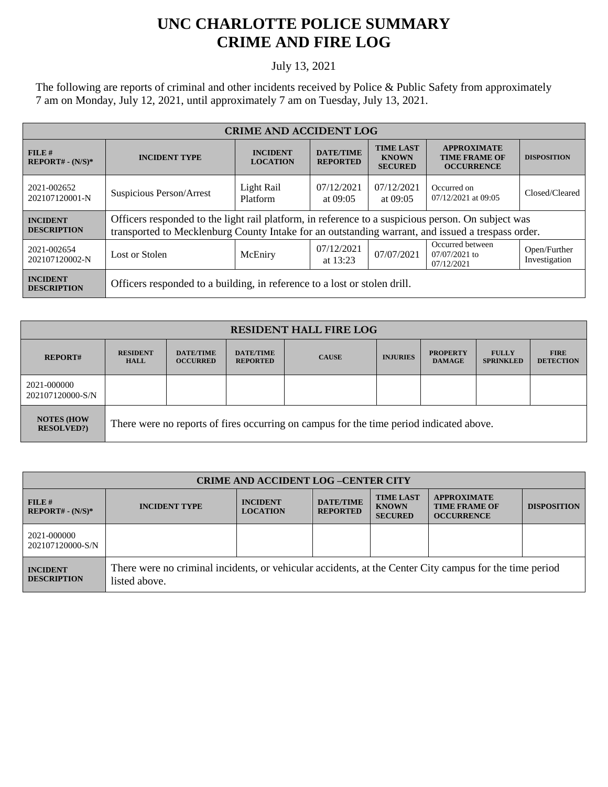## **UNC CHARLOTTE POLICE SUMMARY CRIME AND FIRE LOG**

## July 13, 2021

The following are reports of criminal and other incidents received by Police & Public Safety from approximately 7 am on Monday, July 12, 2021, until approximately 7 am on Tuesday, July 13, 2021.

| <b>CRIME AND ACCIDENT LOG</b>         |                                                                                                                                                                                                         |                                    |                                     |                                                    |                                                                 |                               |  |
|---------------------------------------|---------------------------------------------------------------------------------------------------------------------------------------------------------------------------------------------------------|------------------------------------|-------------------------------------|----------------------------------------------------|-----------------------------------------------------------------|-------------------------------|--|
| FILE#<br>$REPORT# - (N/S)*$           | <b>INCIDENT TYPE</b>                                                                                                                                                                                    | <b>INCIDENT</b><br><b>LOCATION</b> | <b>DATE/TIME</b><br><b>REPORTED</b> | <b>TIME LAST</b><br><b>KNOWN</b><br><b>SECURED</b> | <b>APPROXIMATE</b><br><b>TIME FRAME OF</b><br><b>OCCURRENCE</b> | <b>DISPOSITION</b>            |  |
| 2021-002652<br>202107120001-N         | Suspicious Person/Arrest                                                                                                                                                                                | Light Rail<br>Platform             | 07/12/2021<br>at $09:05$            | 07/12/2021<br>at $09:05$                           | Occurred on<br>07/12/2021 at 09:05                              | Closed/Cleared                |  |
| <b>INCIDENT</b><br><b>DESCRIPTION</b> | Officers responded to the light rail platform, in reference to a suspicious person. On subject was<br>transported to Mecklenburg County Intake for an outstanding warrant, and issued a trespass order. |                                    |                                     |                                                    |                                                                 |                               |  |
| 2021-002654<br>202107120002-N         | Lost or Stolen                                                                                                                                                                                          | McEniry                            | 07/12/2021<br>at 13:23              | 07/07/2021                                         | Occurred between<br>$07/07/2021$ to<br>07/12/2021               | Open/Further<br>Investigation |  |
| <b>INCIDENT</b><br><b>DESCRIPTION</b> | Officers responded to a building, in reference to a lost or stolen drill.                                                                                                                               |                                    |                                     |                                                    |                                                                 |                               |  |

| <b>RESIDENT HALL FIRE LOG</b>           |                                                                                         |                                     |                                     |              |                 |                                  |                                  |                                 |
|-----------------------------------------|-----------------------------------------------------------------------------------------|-------------------------------------|-------------------------------------|--------------|-----------------|----------------------------------|----------------------------------|---------------------------------|
| <b>REPORT#</b>                          | <b>RESIDENT</b><br><b>HALL</b>                                                          | <b>DATE/TIME</b><br><b>OCCURRED</b> | <b>DATE/TIME</b><br><b>REPORTED</b> | <b>CAUSE</b> | <b>INJURIES</b> | <b>PROPERTY</b><br><b>DAMAGE</b> | <b>FULLY</b><br><b>SPRINKLED</b> | <b>FIRE</b><br><b>DETECTION</b> |
| 2021-000000<br>202107120000-S/N         |                                                                                         |                                     |                                     |              |                 |                                  |                                  |                                 |
| <b>NOTES (HOW)</b><br><b>RESOLVED?)</b> | There were no reports of fires occurring on campus for the time period indicated above. |                                     |                                     |              |                 |                                  |                                  |                                 |

| <b>CRIME AND ACCIDENT LOG-CENTER CITY</b> |                                                                                                                          |                                    |                                     |                                                    |                                                                 |                    |
|-------------------------------------------|--------------------------------------------------------------------------------------------------------------------------|------------------------------------|-------------------------------------|----------------------------------------------------|-----------------------------------------------------------------|--------------------|
| $FILE$ #<br>$REPORT# - (N/S)*$            | <b>INCIDENT TYPE</b>                                                                                                     | <b>INCIDENT</b><br><b>LOCATION</b> | <b>DATE/TIME</b><br><b>REPORTED</b> | <b>TIME LAST</b><br><b>KNOWN</b><br><b>SECURED</b> | <b>APPROXIMATE</b><br><b>TIME FRAME OF</b><br><b>OCCURRENCE</b> | <b>DISPOSITION</b> |
| 2021-000000<br>202107120000-S/N           |                                                                                                                          |                                    |                                     |                                                    |                                                                 |                    |
| <b>INCIDENT</b><br><b>DESCRIPTION</b>     | There were no criminal incidents, or vehicular accidents, at the Center City campus for the time period<br>listed above. |                                    |                                     |                                                    |                                                                 |                    |